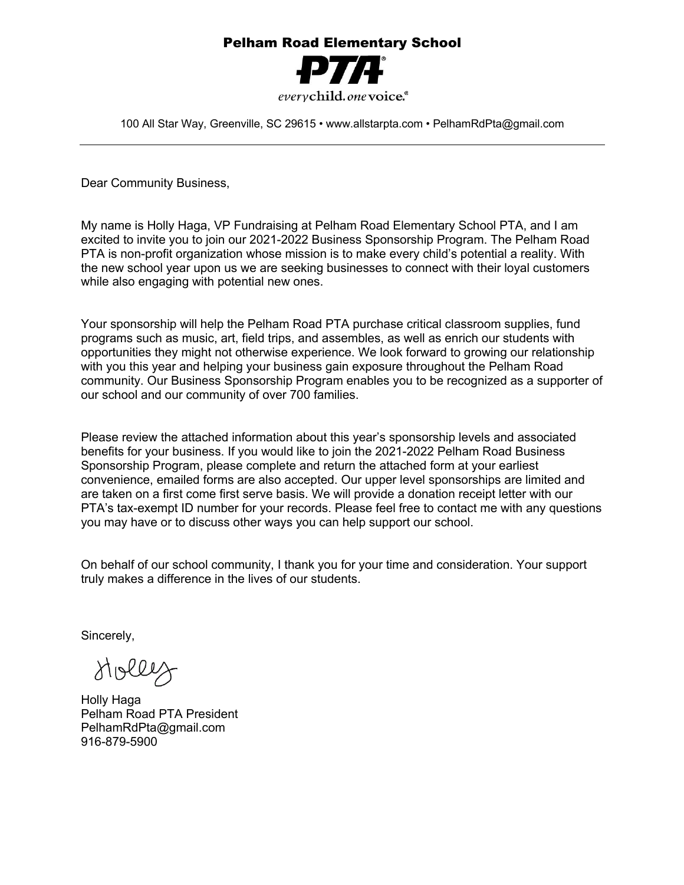## Pelham Road Elementary School

everychild.one voice.<sup>®</sup>

100 All Star Way, Greenville, SC 29615 • www.allstarpta.com • PelhamRdPta@gmail.com

Dear Community Business,

My name is Holly Haga, VP Fundraising at Pelham Road Elementary School PTA, and I am excited to invite you to join our 2021-2022 Business Sponsorship Program. The Pelham Road PTA is non-profit organization whose mission is to make every child's potential a reality. With the new school year upon us we are seeking businesses to connect with their loyal customers while also engaging with potential new ones.

Your sponsorship will help the Pelham Road PTA purchase critical classroom supplies, fund programs such as music, art, field trips, and assembles, as well as enrich our students with opportunities they might not otherwise experience. We look forward to growing our relationship with you this year and helping your business gain exposure throughout the Pelham Road community. Our Business Sponsorship Program enables you to be recognized as a supporter of our school and our community of over 700 families.

Please review the attached information about this year's sponsorship levels and associated benefits for your business. If you would like to join the 2021-2022 Pelham Road Business Sponsorship Program, please complete and return the attached form at your earliest convenience, emailed forms are also accepted. Our upper level sponsorships are limited and are taken on a first come first serve basis. We will provide a donation receipt letter with our PTA's tax-exempt ID number for your records. Please feel free to contact me with any questions you may have or to discuss other ways you can help support our school.

On behalf of our school community, I thank you for your time and consideration. Your support truly makes a difference in the lives of our students.

Sincerely,

Holley

Holly Haga Pelham Road PTA President PelhamRdPta@gmail.com 916-879-5900